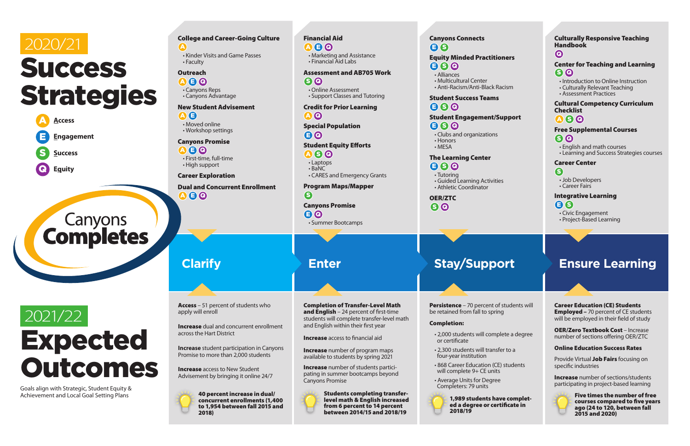# 2020/21 **Success** Strategies



# **Canyons**<br> **Completes**

# 2021/22 Expected Outcomes

Goals align with Strategic, Student Equity & Achievement and Local Goal Setting Plans

 ${\bf \Omega}$  &  ${\bf \Omega}$ • Canyons Reps

**Clarify**

#### College and Career-Going Culture A

 ${\bf \Omega}$   $\bf\Theta}$   $\bf\Theta$ • First-time, full-time • High support

Dual and Concurrent Enrollment  $\bullet$ 

• Kinder Visits and Game Passes • Faculty

#### **Outreach**

**Increase** dual and concurrent enrollment across the Hart District

• Canyons Advantage

#### New Student Advisement

A E

• Moved online • Workshop settings

**Increase** access to New Student Advisement by bringing it online 24/7



#### Canyons Promise

#### Career Exploration

- $\bullet$ • Online Assessment
- Support Classes and Tutoring

Access – 51 percent of students who apply will enroll

 $\bullet$ • Summer Bootcamps

**Increase** student participation in Canyons Promise to more than 2,000 students

**Increase** number of program maps available to students by spring 2021

**Increase** number of students participating in summer bootcamps beyond Canyons Promise



40 percent increase in dual/ concurrent enrollments (1,400 to 1,954 between fall 2015 and 2018)

**Enter**

- Alliances
- Multicultural Center
- Anti-Racism/Anti-Black Ra

#### Financial Aid

#### Student Success Teams  $\bullet$  S  $\bullet$

#### **Student Engagement/S**  $\bullet$   $\bullet$   $\bullet$

A E Q • Marketing and Assistance • Financial Aid Labs

### Assessment and AB705 Work

- $\bullet$  S  $\bullet$
- Tutoring
- Guided Learning Activitie • Athletic Coordinator

#### Credit for Prior Learning A Q

**Persistence** – 70 percent of be retained from fall to spring

Special Population

#### E Q

#### Student Equity Efforts

- A S Q
- Laptops • BaNC
- CARES and Emergency Grants

- $\cdot$  2,000 students will compl or certificate
- 2,300 students will transf four-year institution
- 868 Career Education (CE) will complete 9+ CE units
- Average Units for Degree Completers: 79 units



Program Maps/Mapper

S Canyons Promise

> 1,989 students have ed a degree or cert 2018/19



Completion of Transfer-Level Math and English  $-$  24 percent of first-time students will complete transfer-level math and English within their first year

**Increase** access to financial aid

Students completing transferlevel math & English increased from 6 percent to 14 percent between 2014/15 and 2018/19

#### Canyons Connects E S

#### **Equity Minded Practitio**  $\bullet$   $\bullet$

- 
- Clubs and organizations • Honors
- MESA

#### The Learning Center

OER/ZTC S Q

## **Stay/Support**

#### Completion:

| ners                       | <b>Culturally Responsive Teaching</b><br><b>Handbook</b><br>$\boldsymbol{\Theta}$                                                                 |
|----------------------------|---------------------------------------------------------------------------------------------------------------------------------------------------|
|                            | <b>Center for Teaching and Learning</b><br>$S$ <sup><math>\Omega</math></sup>                                                                     |
| acism                      | • Introduction to Online Instruction<br>• Culturally Relevant Teaching<br>• Assessment Practices                                                  |
|                            | <b>Cultural Competency Curriculum</b><br><b>Checklist</b>                                                                                         |
| upport                     | $A$ SO                                                                                                                                            |
|                            | <b>Free Supplemental Courses</b><br>$S$ <sup><math>\Omega</math></sup><br>• English and math courses<br>• Learning and Success Strategies courses |
|                            | <b>Career Center</b>                                                                                                                              |
|                            | 6                                                                                                                                                 |
| ١Ś                         | • Job Developers<br>• Career Fairs                                                                                                                |
|                            | <b>Integrative Learning</b><br>$\mathbf{E}(\mathbf{S})$                                                                                           |
|                            | • Civic Engagement                                                                                                                                |
|                            | • Project-Based Learning                                                                                                                          |
|                            |                                                                                                                                                   |
|                            |                                                                                                                                                   |
| וכ                         | <b>Ensure Learning</b>                                                                                                                            |
|                            |                                                                                                                                                   |
|                            |                                                                                                                                                   |
| students will<br>g         | <b>Career Education (CE) Students</b><br><b>Employed - 70 percent of CE students</b><br>will be employed in their field of study                  |
| lete a degree              | <b>OER/Zero Textbook Cost - Increase</b><br>number of sections offering OER/ZTC                                                                   |
| er to a                    | <b>Online Education Success Rates</b>                                                                                                             |
| ) students                 | Provide Virtual Job Fairs focusing on<br>specific industries                                                                                      |
|                            | <b>Increase</b> number of sections/students<br>participating in project-based learning                                                            |
| ve complet-<br>tificate in | <b>Five times the number of free</b><br>courses compared to five years<br>ago (24 to 120, between fall<br>2015 and 2020)                          |